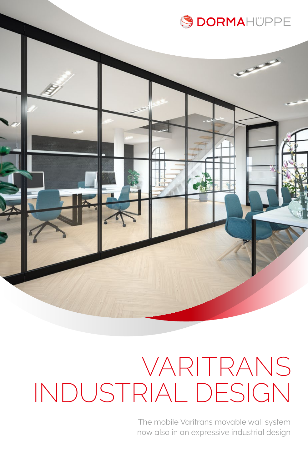

# VARITRANS INDUSTRIAL DESIGN

The mobile Varitrans movable wall system now also in an expressive industrial design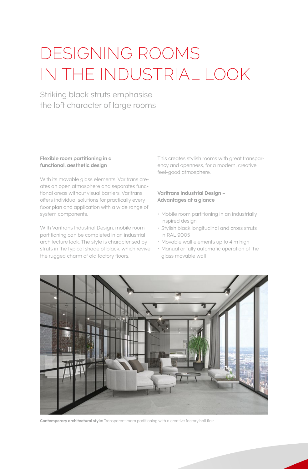## DESIGNING ROOMS IN THE INDUSTRIAL LOOK

Striking black struts emphasise the loft character of large rooms

### **Flexible room partitioning in a functional, aesthetic design**

With its movable glass elements, Varitrans creates an open atmosphere and separates functional areas without visual barriers. Varitrans offers individual solutions for practically every floor plan and application with a wide range of system components.

With Varitrans Industrial Design, mobile room partitioning can be completed in an industrial architecture look. The style is characterised by struts in the typical shade of black, which revive the rugged charm of old factory floors.

This creates stylish rooms with great transparency and openness, for a modern, creative, feel-good atmosphere.

#### **Varitrans Industrial Design – Advantages at a glance**

- Mobile room partitioning in an industrially inspired design
- Stylish black longitudinal and cross struts in RAL 9005
- Movable wall elements up to 4 m high
- Manual or fully automatic operation of the glass movable wall



**Contemporary architectural style:** Transparent room partitioning with a creative factory hall flair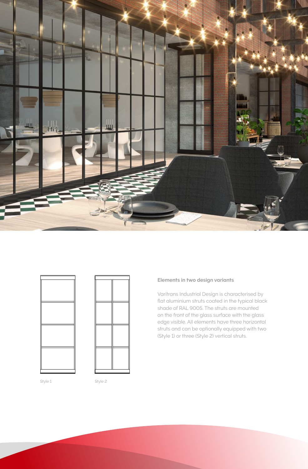





#### **Elements in two design variants**

Varitrans Industrial Design is characterised by flat aluminium struts coated in the typical black shade of RAL 9005. The struts are mounted on the front of the glass surface with the glass edge visible. All elements have three horizontal struts and can be optionally equipped with two (Style 1) or three (Style 2) vertical struts.